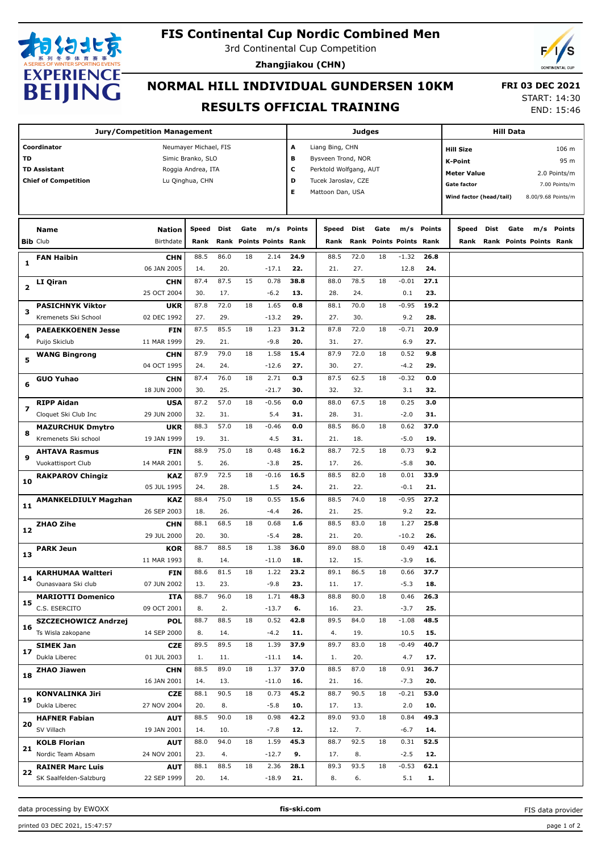

## **FIS Continental Cup Nordic Combined Men**

3rd Continental Cup Competition

**Zhangjiakou (CHN)**



## **NORMAL HILL INDIVIDUAL GUNDERSEN 10KM RESULTS OFFICIAL TRAINING**

 **FRI 03 DEC 2021** START: 14:30

END: 15:46

| <b>Jury/Competition Management</b> |                             |             |                       |      |      | Judges                    |            |                        |      |      |                         | <b>Hill Data</b> |                    |                                                                                                                                  |  |  |        |
|------------------------------------|-----------------------------|-------------|-----------------------|------|------|---------------------------|------------|------------------------|------|------|-------------------------|------------------|--------------------|----------------------------------------------------------------------------------------------------------------------------------|--|--|--------|
|                                    | Coordinator                 |             | Neumayer Michael, FIS |      |      |                           | А          | Liang Bing, CHN        |      |      |                         |                  | <b>Hill Size</b>   |                                                                                                                                  |  |  | 106 m  |
| TD                                 |                             |             | Simic Branko, SLO     |      |      |                           | в          | Bysveen Trond, NOR     |      |      |                         |                  |                    |                                                                                                                                  |  |  |        |
|                                    | <b>TD Assistant</b>         |             | Roggia Andrea, ITA    |      |      |                           | c          | Perktold Wolfgang, AUT |      |      |                         |                  | <b>K-Point</b>     |                                                                                                                                  |  |  | 95 m   |
|                                    | <b>Chief of Competition</b> |             | Lu Qinghua, CHN       |      |      |                           | D          | Tucek Jaroslav, CZE    |      |      |                         |                  | <b>Meter Value</b> |                                                                                                                                  |  |  |        |
|                                    |                             |             |                       |      |      |                           | Е          | Mattoon Dan, USA       |      |      |                         |                  | <b>Gate factor</b> |                                                                                                                                  |  |  |        |
|                                    |                             |             |                       |      |      |                           |            |                        |      |      |                         |                  |                    |                                                                                                                                  |  |  |        |
|                                    |                             |             |                       |      |      |                           |            |                        |      |      |                         |                  |                    | 2.0 Points/m<br>7.00 Points/m<br>Wind factor (head/tail)<br>8.00/9.68 Points/m<br>Dist<br>Gate<br>m/s<br>Rank Points Points Rank |  |  |        |
|                                    | Name                        | Nation      | <b>Speed</b>          | Dist | Gate |                           | m/s Points | Speed                  | Dist | Gate |                         | m/s Points       | Speed              |                                                                                                                                  |  |  | Points |
|                                    | <b>Bib Club</b>             | Birthdate   | Rank                  | Rank |      | <b>Points Points Rank</b> |            | Rank                   |      |      | Rank Points Points Rank |                  | Rank               |                                                                                                                                  |  |  |        |
|                                    | <b>FAN Haibin</b>           | <b>CHN</b>  | 88.5                  | 86.0 | 18   | 2.14                      | 24.9       | 88.5                   | 72.0 | 18   | $-1.32$                 | 26.8             |                    |                                                                                                                                  |  |  |        |
| 1                                  |                             | 06 JAN 2005 | 14.                   | 20.  |      | $-17.1$                   | 22.        | 21.                    | 27.  |      | 12.8                    | 24.              |                    |                                                                                                                                  |  |  |        |
| 2                                  | LI Qiran                    | <b>CHN</b>  | 87.4                  | 87.5 | 15   | 0.78                      | 38.8       | 88.0                   | 78.5 | 18   | $-0.01$                 | 27.1             |                    |                                                                                                                                  |  |  |        |
|                                    |                             | 25 OCT 2004 | 30.                   | 17.  |      | $-6.2$                    | 13.        | 28.                    | 24.  |      | 0.1                     | 23.              |                    |                                                                                                                                  |  |  |        |
|                                    | <b>PASICHNYK Viktor</b>     | <b>UKR</b>  | 87.8                  | 72.0 | 18   | 1.65                      | 0.8        | 88.1                   | 70.0 | 18   | $-0.95$                 | 19.2             |                    |                                                                                                                                  |  |  |        |
| з                                  | Kremenets Ski School        | 02 DEC 1992 | 27.                   | 29.  |      | $-13.2$                   | 29.        | 27.                    | 30.  |      | 9.2                     | 28.              |                    |                                                                                                                                  |  |  |        |
|                                    | <b>PAEAEKKOENEN Jesse</b>   | FIN         | 87.5                  | 85.5 | 18   | 1.23                      | 31.2       | 87.8                   | 72.0 | 18   | $-0.71$                 | 20.9             |                    |                                                                                                                                  |  |  |        |
| 4                                  | Puijo Skiclub               | 11 MAR 1999 | 29.                   | 21.  |      | $-9.8$                    | 20.        | 31.                    | 27.  |      | 6.9                     | 27.              |                    |                                                                                                                                  |  |  |        |
|                                    | <b>WANG Bingrong</b>        | <b>CHN</b>  | 87.9                  | 79.0 | 18   | 1.58                      | 15.4       | 87.9                   | 72.0 | 18   | 0.52                    | 9.8              |                    |                                                                                                                                  |  |  |        |
| 5                                  |                             | 04 OCT 1995 | 24.                   | 24.  |      | $-12.6$                   | 27.        | 30.                    | 27.  |      | $-4.2$                  | 29.              |                    |                                                                                                                                  |  |  |        |
|                                    | <b>GUO Yuhao</b>            | <b>CHN</b>  | 87.4                  | 76.0 | 18   | 2.71                      | 0.3        | 87.5                   | 62.5 | 18   | $-0.32$                 | 0.0              |                    |                                                                                                                                  |  |  |        |
| 6                                  |                             | 18 JUN 2000 | 30.                   | 25.  |      | $-21.7$                   | 30.        | 32.                    | 32.  |      | 3.1                     | 32.              |                    |                                                                                                                                  |  |  |        |
|                                    | <b>RIPP Aidan</b>           | <b>USA</b>  | 87.2                  | 57.0 | 18   | $-0.56$                   | 0.0        | 88.0                   | 67.5 | 18   | 0.25                    | 3.0              |                    |                                                                                                                                  |  |  |        |
| 7                                  | Cloquet Ski Club Inc        | 29 JUN 2000 | 32.                   | 31.  |      | 5.4                       | 31.        | 28.                    | 31.  |      | $-2.0$                  | 31.              |                    |                                                                                                                                  |  |  |        |
|                                    | <b>MAZURCHUK Dmytro</b>     | <b>UKR</b>  | 88.3                  | 57.0 | 18   | $-0.46$                   | 0.0        | 88.5                   | 86.0 | 18   | 0.62                    | 37.0             |                    |                                                                                                                                  |  |  |        |
| 8                                  | Kremenets Ski school        | 19 JAN 1999 | 19.                   | 31.  |      | 4.5                       | 31.        | 21.                    | 18.  |      | $-5.0$                  | 19.              |                    |                                                                                                                                  |  |  |        |
|                                    | <b>AHTAVA Rasmus</b>        | FIN         | 88.9                  | 75.0 | 18   | 0.48                      | 16.2       | 88.7                   | 72.5 | 18   | 0.73                    | 9.2              |                    |                                                                                                                                  |  |  |        |
| 9                                  | Vuokattisport Club          | 14 MAR 2001 | 5.                    | 26.  |      | $-3.8$                    | 25.        | 17.                    | 26.  |      | $-5.8$                  | 30.              |                    |                                                                                                                                  |  |  |        |
|                                    | <b>RAKPAROV Chingiz</b>     | <b>KAZ</b>  | 87.9                  | 72.5 | 18   | $-0.16$                   | 16.5       | 88.5                   | 82.0 | 18   | 0.01                    | 33.9             |                    |                                                                                                                                  |  |  |        |
| 10                                 |                             | 05 JUL 1995 | 24.                   | 28.  |      | 1.5                       | 24.        | 21.                    | 22.  |      | $-0.1$                  | 21.              |                    |                                                                                                                                  |  |  |        |
|                                    | <b>AMANKELDIULY Magzhan</b> | <b>KAZ</b>  | 88.4                  | 75.0 | 18   | 0.55                      | 15.6       | 88.5                   | 74.0 | 18   | $-0.95$                 | 27.2             |                    |                                                                                                                                  |  |  |        |
| 11                                 |                             | 26 SEP 2003 | 18.                   | 26.  |      | $-4.4$                    | 26.        | 21.                    | 25.  |      | 9.2                     | 22.              |                    |                                                                                                                                  |  |  |        |
|                                    | ZHAO Zihe                   | <b>CHN</b>  | 88.1                  | 68.5 | 18   | 0.68                      | 1.6        | 88.5                   | 83.0 | 18   | 1.27                    | 25.8             |                    |                                                                                                                                  |  |  |        |
| 12                                 |                             | 29 JUL 2000 | 20.                   | 30.  |      | $-5.4$                    | 28.        | 21.                    | 20.  |      | $-10.2$                 | 26.              |                    |                                                                                                                                  |  |  |        |
|                                    | <b>PARK Jeun</b>            | <b>KOR</b>  | 88.7                  | 88.5 | 18   | 1.38                      | 36.0       | 89.0                   | 88.0 | 18   | 0.49                    | 42.1             |                    |                                                                                                                                  |  |  |        |
| 13                                 |                             | 11 MAR 1993 | 8.                    | 14.  |      | $-11.0$                   | 18.        | 12.                    | 15.  |      | $-3.9$                  | 16.              |                    |                                                                                                                                  |  |  |        |
|                                    | <b>KARHUMAA Waltteri</b>    | <b>FIN</b>  | 88.6                  | 81.5 | 18   | 1.22                      | 23.2       | 89.1                   | 86.5 | 18   | 0.66                    | 37.7             |                    |                                                                                                                                  |  |  |        |
| 14                                 | Ounasvaara Ski club         | 07 JUN 2002 | 13.                   | 23.  |      | $-9.8$                    | 23.        | 11.                    | 17.  |      | $-5.3$                  | 18.              |                    |                                                                                                                                  |  |  |        |
|                                    | <b>MARIOTTI Domenico</b>    | ITA         | 88.7                  | 96.0 | 18   | 1.71                      | 48.3       | 88.8                   | 80.0 | 18   | 0.46                    | 26.3             |                    |                                                                                                                                  |  |  |        |
| 15                                 | C.S. ESERCITO               | 09 OCT 2001 | 8.                    | 2.   |      | $-13.7$                   | 6.         | 16.                    | 23.  |      | $-3.7$                  | 25.              |                    |                                                                                                                                  |  |  |        |
|                                    | SZCZECHOWICZ Andrzej        | <b>POL</b>  | 88.7                  | 88.5 | 18   | 0.52                      | 42.8       | 89.5                   | 84.0 | 18   | $-1.08$                 | 48.5             |                    |                                                                                                                                  |  |  |        |
| 16                                 | Ts Wisla zakopane           | 14 SEP 2000 | 8.                    | 14.  |      | $-4.2$                    | 11.        | 4.                     | 19.  |      | 10.5                    | 15.              |                    |                                                                                                                                  |  |  |        |
|                                    |                             |             | 89.5                  | 89.5 | 18   | 1.39                      | 37.9       | 89.7                   | 83.0 | 18   | $-0.49$                 | 40.7             |                    |                                                                                                                                  |  |  |        |
| 17                                 | SIMEK Jan<br>Dukla Liberec  | <b>CZE</b>  |                       |      |      |                           |            |                        |      |      |                         |                  |                    |                                                                                                                                  |  |  |        |
|                                    |                             | 01 JUL 2003 | 1.                    | 11.  |      | $-11.1$                   | 14.        | 1.                     | 20.  |      | 4.7                     | 17.              |                    |                                                                                                                                  |  |  |        |
| 18                                 | <b>ZHAO Jiawen</b>          | <b>CHN</b>  | 88.5                  | 89.0 | 18   | 1.37                      | 37.0       | 88.5                   | 87.0 | 18   | 0.91                    | 36.7             |                    |                                                                                                                                  |  |  |        |
|                                    |                             | 16 JAN 2001 | 14.                   | 13.  |      | $-11.0$                   | 16.        | 21.                    | 16.  |      | $-7.3$                  | 20.              |                    |                                                                                                                                  |  |  |        |
| 19                                 | <b>KONVALINKA Jiri</b>      | <b>CZE</b>  | 88.1                  | 90.5 | 18   | 0.73                      | 45.2       | 88.7                   | 90.5 | 18   | $-0.21$                 | 53.0             |                    |                                                                                                                                  |  |  |        |
|                                    | Dukla Liberec               | 27 NOV 2004 | 20.                   | 8.   |      | $-5.8$                    | 10.        | 17.                    | 13.  |      | 2.0                     | 10.              |                    |                                                                                                                                  |  |  |        |
| 20                                 | <b>HAFNER Fabian</b>        | <b>AUT</b>  | 88.5                  | 90.0 | 18   | 0.98                      | 42.2       | 89.0                   | 93.0 | 18   | 0.84                    | 49.3             |                    |                                                                                                                                  |  |  |        |
|                                    | SV Villach                  | 19 JAN 2001 | 14.                   | 10.  |      | $-7.8$                    | 12.        | 12.                    | 7.   |      | $-6.7$                  | 14.              |                    |                                                                                                                                  |  |  |        |
| 21                                 | <b>KOLB Florian</b>         | <b>AUT</b>  | 88.0                  | 94.0 | 18   | 1.59                      | 45.3       | 88.7                   | 92.5 | 18   | 0.31                    | 52.5             |                    |                                                                                                                                  |  |  |        |
|                                    | Nordic Team Absam           | 24 NOV 2001 | 23.                   | 4.   |      | $-12.7$                   | 9.         | 17.                    | 8.   |      | $-2.5$                  | 12.              |                    |                                                                                                                                  |  |  |        |
| 22                                 | <b>RAINER Marc Luis</b>     | <b>AUT</b>  | 88.1                  | 88.5 | 18   | 2.36                      | 28.1       | 89.3                   | 93.5 | 18   | $-0.53$                 | 62.1             |                    |                                                                                                                                  |  |  |        |
|                                    | SK Saalfelden-Salzburg      | 22 SEP 1999 | 20.                   | 14.  |      | $-18.9$                   | 21.        | 8.                     | 6.   |      | 5.1                     | 1.               |                    |                                                                                                                                  |  |  |        |

data processing by EWOXX **fis-ski.com**